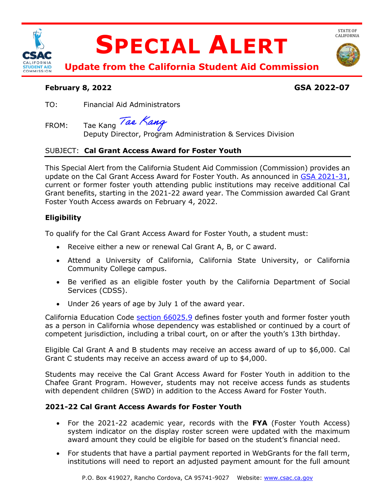

# **February 8, 2022 GSA 2022-07**

STATE OF<br>CALIFORNIA

TO: Financial Aid Administrators

FROM: Tae Kang Tae Kang

Deputy Director, Program Administration & Services Division

# SUBJECT: **Cal Grant Access Award for Foster Youth**

This Special Alert from the California Student Aid Commission (Commission) provides an update on the Cal Grant Access Award for Foster Youth. As announced in [GSA 2021-31,](https://www.csac.ca.gov/sites/main/files/file-attachments/gsa_2021-31.pdf) current or former foster youth attending public institutions may receive additional Cal Grant benefits, starting in the 2021-22 award year. The Commission awarded Cal Grant Foster Youth Access awards on February 4, 2022.

# **Eligibility**

To qualify for the Cal Grant Access Award for Foster Youth, a student must:

- Receive either a new or renewal Cal Grant A, B, or C award.
- Attend a University of California, California State University, or California Community College campus.
- Be verified as an eligible foster youth by the California Department of Social Services (CDSS).
- Under 26 years of age by July 1 of the award year.

California Education Code [section 66025.9](https://leginfo.legislature.ca.gov/faces/codes_displaySection.xhtml?sectionNum=66025.9.&lawCode=EDC) defines foster youth and former foster youth as a person in California whose dependency was established or continued by a court of competent jurisdiction, including a tribal court, on or after the youth's 13th birthday.

Eligible Cal Grant A and B students may receive an access award of up to \$6,000. Cal Grant C students may receive an access award of up to \$4,000.

Students may receive the Cal Grant Access Award for Foster Youth in addition to the Chafee Grant Program. However, students may not receive access funds as students with dependent children (SWD) in addition to the Access Award for Foster Youth.

## **2021-22 Cal Grant Access Awards for Foster Youth**

- For the 2021-22 academic year, records with the **FYA** (Foster Youth Access) system indicator on the display roster screen were updated with the maximum award amount they could be eligible for based on the student's financial need.
- For students that have a partial payment reported in WebGrants for the fall term, institutions will need to report an adjusted payment amount for the full amount